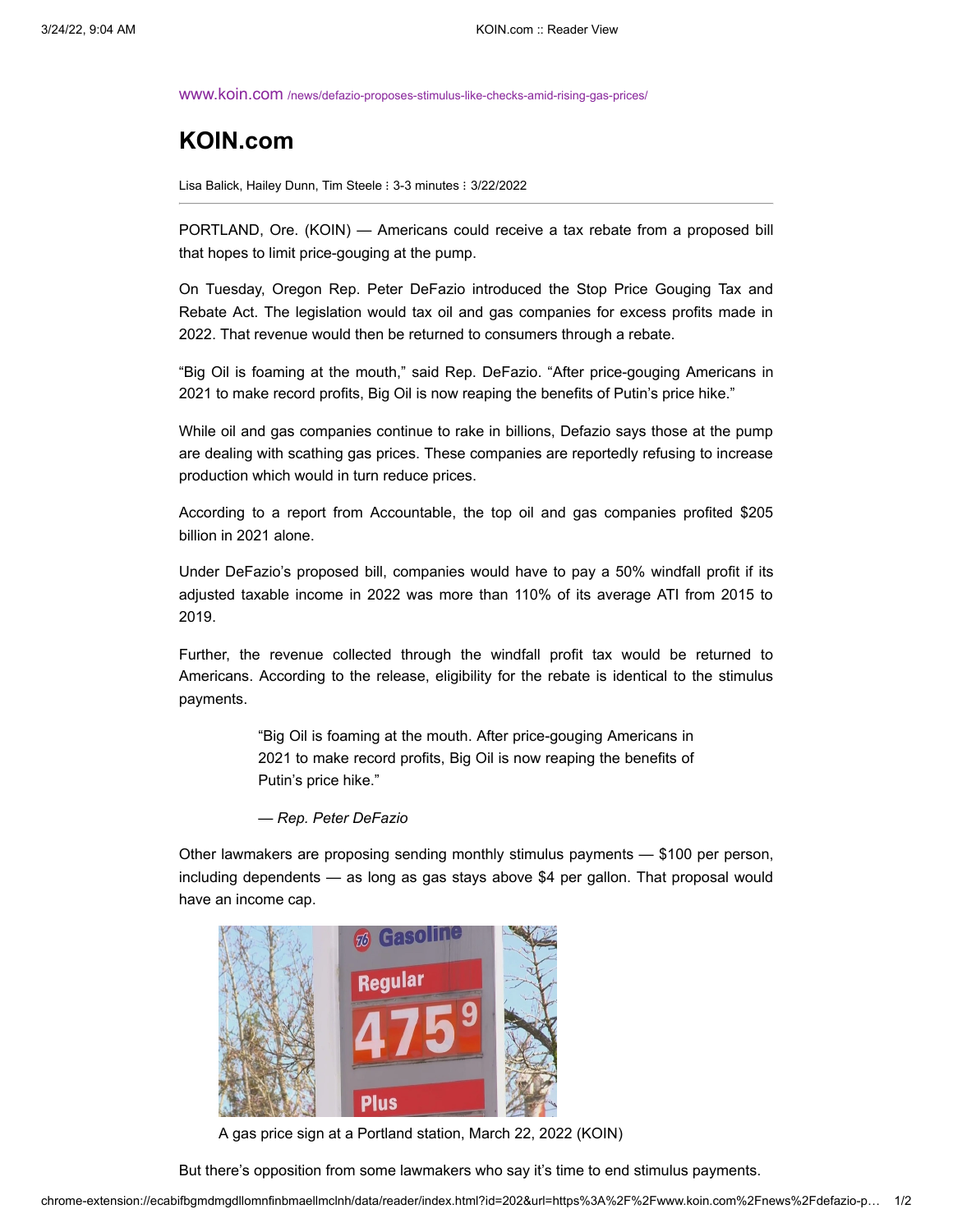www.koin.com [/news/defazio-proposes-stimulus-like-checks-amid-rising-gas-prices/](https://www.koin.com/news/defazio-proposes-stimulus-like-checks-amid-rising-gas-prices/)

## **KOIN.com**

Lisa Balick, Hailey Dunn, Tim Steele : 3-3 minutes : 3/22/2022

PORTLAND, Ore. (KOIN) — Americans could receive a tax rebate from a proposed bill that hopes to limit price-gouging at the pump.

On Tuesday, Oregon Rep. Peter DeFazio introduced the Stop Price Gouging Tax and Rebate Act. The legislation would tax oil and gas companies for excess profits made in 2022. That revenue would then be returned to consumers through a rebate.

"Big Oil is foaming at the mouth," said Rep. DeFazio. "After price-gouging Americans in 2021 to make record profits, Big Oil is now reaping the benefits of Putin's price hike."

While oil and gas companies continue to rake in billions, Defazio says those at the pump are dealing with scathing gas prices. These companies are reportedly refusing to increase production which would in turn reduce prices.

According to a report from Accountable, the top oil and gas companies profited \$205 billion in 2021 alone.

Under DeFazio's proposed bill, companies would have to pay a 50% windfall profit if its adjusted taxable income in 2022 was more than 110% of its average ATI from 2015 to 2019.

Further, the revenue collected through the windfall profit tax would be returned to Americans. According to the release, eligibility for the rebate is identical to the stimulus payments.

> "Big Oil is foaming at the mouth. After price-gouging Americans in 2021 to make record profits, Big Oil is now reaping the benefits of Putin's price hike."

*— Rep. Peter DeFazio*

Other lawmakers are proposing sending monthly stimulus payments — \$100 per person, including dependents — as long as gas stays above \$4 per gallon. That proposal would have an income cap.



A gas price sign at a Portland station, March 22, 2022 (KOIN)

But there's opposition from some lawmakers who say it's time to end stimulus payments.